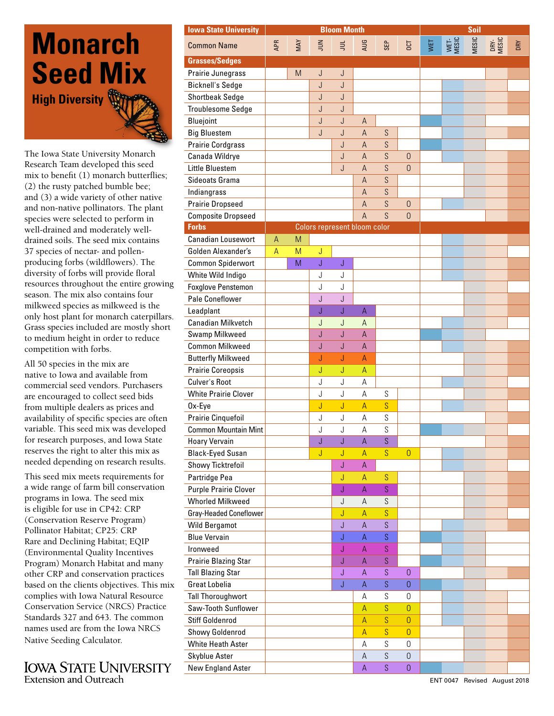## **Monarch Seed Mix High Diversity**

The Iowa State University Monarch Research Team developed this seed mix to benefit (1) monarch butterflies; (2) the rusty patched bumble bee; and (3) a wide variety of other native and non-native pollinators. The plant species were selected to perform in well-drained and moderately welldrained soils. The seed mix contains 37 species of nectar- and pollenproducing forbs (wildflowers). The diversity of forbs will provide floral resources throughout the entire growing season. The mix also contains four milkweed species as milkweed is the only host plant for monarch caterpillars. Grass species included are mostly short to medium height in order to reduce competition with forbs.

All 50 species in the mix are native to Iowa and available from commercial seed vendors. Purchasers are encouraged to collect seed bids from multiple dealers as prices and availability of specific species are often variable. This seed mix was developed for research purposes, and Iowa State reserves the right to alter this mix as needed depending on research results.

This seed mix meets requirements for a wide range of farm bill conservation programs in Iowa. The seed mix is eligible for use in CP42: CRP (Conservation Reserve Program) Pollinator Habitat; CP25: CRP Rare and Declining Habitat; EQIP (Environmental Quality Incentives Program) Monarch Habitat and many other CRP and conservation practices based on the clients objectives. This mix complies with Iowa Natural Resource Conservation Service (NRCS) Practice Standards 327 and 643. The common names used are from the Iowa NRCS Native Seeding Calculator.

**IOWA STATE UNIVERSITY Extension and Outreach** 

| <b>Iowa State University</b>  |            |     |                              | <b>Bloom Month</b> |                |              |                     | Soil |               |       |               |     |
|-------------------------------|------------|-----|------------------------------|--------------------|----------------|--------------|---------------------|------|---------------|-------|---------------|-----|
| <b>Common Name</b>            | <b>APR</b> | MAY | $\leq$                       | $\equiv$           | AUG            | SEP          | <b>T30</b>          | WET  | WET-<br>MESIC | MESIC | DRY-<br>MESIC | DRY |
| <b>Grasses/Sedges</b>         |            |     |                              |                    |                |              |                     |      |               |       |               |     |
| Prairie Junegrass             |            | M   | $\bigcup$                    | J                  |                |              |                     |      |               |       |               |     |
| <b>Bicknell's Sedge</b>       |            |     | J                            | J                  |                |              |                     |      |               |       |               |     |
| <b>Shortbeak Sedge</b>        |            |     | J                            | J                  |                |              |                     |      |               |       |               |     |
| Troublesome Sedge             |            |     | J                            | J                  |                |              |                     |      |               |       |               |     |
| Bluejoint                     |            |     | J                            | J                  | $\overline{A}$ |              |                     |      |               |       |               |     |
| <b>Big Bluestem</b>           |            |     | J                            | J                  | $\mathsf{A}$   | S            |                     |      |               |       |               |     |
| <b>Prairie Cordgrass</b>      |            |     |                              | J                  | $\overline{A}$ | S            |                     |      |               |       |               |     |
| Canada Wildrye                |            |     |                              | J                  | $\overline{A}$ | S            | $\overline{0}$      |      |               |       |               |     |
| Little Bluestem               |            |     |                              | J                  | $\overline{A}$ | S            | $\overline{0}$      |      |               |       |               |     |
| Sideoats Grama                |            |     |                              |                    | $\mathsf{A}$   | S            |                     |      |               |       |               |     |
| Indiangrass                   |            |     |                              |                    | $\overline{A}$ | S            |                     |      |               |       |               |     |
| <b>Prairie Dropseed</b>       |            |     |                              |                    | A              | S            | $\overline{0}$      |      |               |       |               |     |
| <b>Composite Dropseed</b>     |            |     |                              |                    | A              | S            | $\Omega$            |      |               |       |               |     |
| <b>Forbs</b>                  |            |     | Colors represent bloom color |                    |                |              |                     |      |               |       |               |     |
| <b>Canadian Lousewort</b>     | А          | M   |                              |                    |                |              |                     |      |               |       |               |     |
| Golden Alexander's            | A          | M   | J                            |                    |                |              |                     |      |               |       |               |     |
| <b>Common Spiderwort</b>      |            | M   | Ĵ                            | J                  |                |              |                     |      |               |       |               |     |
| White Wild Indigo             |            |     | J                            | J                  |                |              |                     |      |               |       |               |     |
| Foxglove Penstemon            |            |     | J                            | J                  |                |              |                     |      |               |       |               |     |
| Pale Coneflower               |            |     | J                            | J                  |                |              |                     |      |               |       |               |     |
| Leadplant                     |            |     | J                            | J                  | A              |              |                     |      |               |       |               |     |
| <b>Canadian Milkvetch</b>     |            |     | J                            | J                  | $\overline{A}$ |              |                     |      |               |       |               |     |
| Swamp Milkweed                |            |     | J                            | J                  | $\overline{A}$ |              |                     |      |               |       |               |     |
| <b>Common Milkweed</b>        |            |     | J                            | J                  | $\overline{A}$ |              |                     |      |               |       |               |     |
| <b>Butterfly Milkweed</b>     |            |     | J                            | J                  | A              |              |                     |      |               |       |               |     |
| <b>Prairie Coreopsis</b>      |            |     | J                            | J                  | $\mathsf A$    |              |                     |      |               |       |               |     |
| Culver's Root                 |            |     | J                            | J                  | $\mathsf{A}$   |              |                     |      |               |       |               |     |
| <b>White Prairie Clover</b>   |            |     | J                            | J                  | A              | S            |                     |      |               |       |               |     |
| Ox-Eye                        |            |     | J                            | J                  | $\overline{A}$ | S            |                     |      |               |       |               |     |
| Prairie Cinquefoil            |            |     | J                            | J                  | A              | S            |                     |      |               |       |               |     |
| <b>Common Mountain Mint</b>   |            |     | J                            | J                  | $\mathsf A$    | S            |                     |      |               |       |               |     |
| <b>Hoary Vervain</b>          |            |     | J                            | J                  | $\overline{A}$ | S            |                     |      |               |       |               |     |
| <b>Black-Eyed Susan</b>       |            |     | J                            | J                  | A              | S            | $\mathbf 0$         |      |               |       |               |     |
| Showy Ticktrefoil             |            |     |                              | J                  | $\mathsf A$    |              |                     |      |               |       |               |     |
| Partridge Pea                 |            |     |                              | J                  | A              | S            |                     |      |               |       |               |     |
| <b>Purple Prairie Clover</b>  |            |     |                              | J                  | A              | S.           |                     |      |               |       |               |     |
| <b>Whorled Milkweed</b>       |            |     |                              | J                  | $\mathsf A$    | S            |                     |      |               |       |               |     |
| <b>Gray-Headed Coneflower</b> |            |     |                              | J                  | $\overline{A}$ | S            |                     |      |               |       |               |     |
| Wild Bergamot                 |            |     |                              | J                  | $\overline{A}$ | $\mathsf{S}$ |                     |      |               |       |               |     |
| <b>Blue Vervain</b>           |            |     |                              | J                  | A              | S.           |                     |      |               |       |               |     |
| Ironweed                      |            |     |                              | J                  | A              | S.           |                     |      |               |       |               |     |
|                               |            |     |                              |                    | A              | S.           |                     |      |               |       |               |     |
| Prairie Blazing Star          |            |     |                              | J                  |                |              |                     |      |               |       |               |     |
| <b>Tall Blazing Star</b>      |            |     |                              | J                  | A              | S            | $\overline{0}$      |      |               |       |               |     |
| <b>Great Lobelia</b>          |            |     |                              | J                  | $\mathsf A$    | S.           | $\boldsymbol{0}$    |      |               |       |               |     |
| Tall Thoroughwort             |            |     |                              |                    | А              | S            | $\mathbf 0$         |      |               |       |               |     |
| Saw-Tooth Sunflower           |            |     |                              |                    | $\mathsf A$    | S            | $\mathbf 0$         |      |               |       |               |     |
| Stiff Goldenrod               |            |     |                              |                    | $\overline{A}$ | S            | $\overline{0}$      |      |               |       |               |     |
| <b>Showy Goldenrod</b>        |            |     |                              |                    | A              | S            | $\overline{0}$      |      |               |       |               |     |
| White Heath Aster             |            |     |                              |                    | A              | S            | 0                   |      |               |       |               |     |
| Skyblue Aster                 |            |     |                              |                    | A              | S            | $\mathbf 0$         |      |               |       |               |     |
| New England Aster             |            |     |                              |                    | $\overline{A}$ | S            | $\mathsf{O}\xspace$ |      |               |       |               |     |